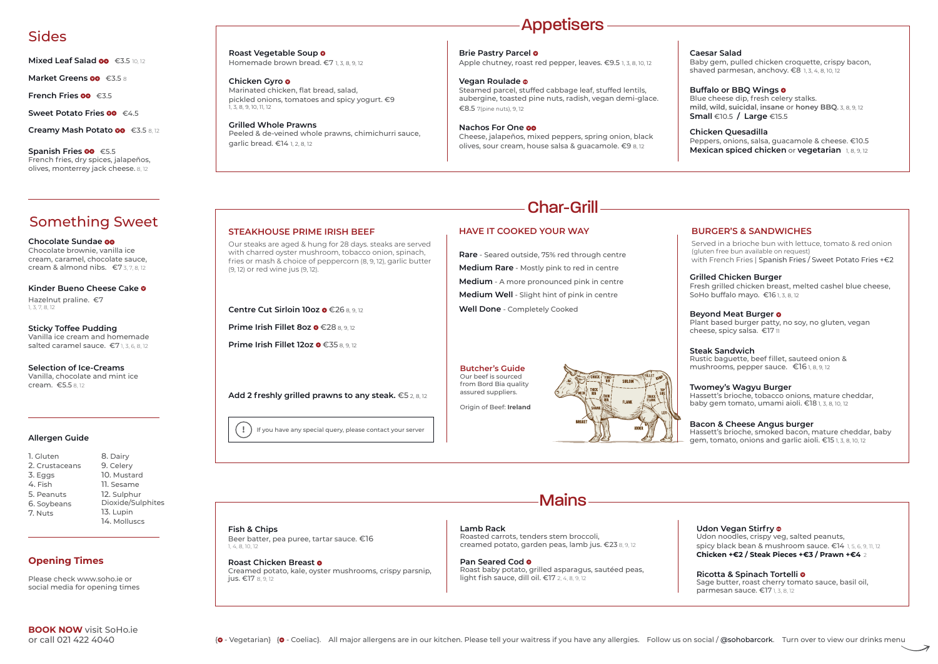**Creamy Mash Potato** €3.5 8, 12

**Spanish Fries <sup>oo</sup>** €5.5 French fries, dry spices, jalapeños, olives, monterrey jack cheese. 8, 12

**Sticky Toffee Pudding** Vanilla ice cream and homemade salted caramel sauce. €71,3,6,8,12

**Chocolate Sundae** Chocolate brownie, vanilla ice cream, caramel, chocolate sauce, cream & almond nibs. €7 3, 7, 8, 12

**Kinder Bueno Cheese Cake** Hazelnut praline. €7

1, 3, 7, 8, 12

**Selection of Ice-Creams** Vanilla, chocolate and mint ice cream. €5.5 8, 12

**STEAKHOUSE PRIME IRISH BEEF** 

**Centre Cut Sirloin 10oz ● €26 8, 9, 12** 

**Prime Irish Fillet 8oz ●€28 8,9,12** 

**Prime Irish Fillet 12oz ● €35 8, 9, 12** 

Our steaks are aged & hung for 28 days. steaks are served with charred oyster mushroom, tobacco onion, spinach, fries or mash & choice of peppercorn (8, 9, 12), garlic butter

(9, 12) or red wine jus (9, 12).

### **BURGER'S & SANDWICHES**

Served in a brioche bun with lettuce, tomato & red onion (gluten free bun available on request) with French Fries | Spanish Fries / Sweet Potato Fries +€2

**Pan Seared Cod** Roast baby potato, grilled asparagus, sautéed peas, light fish sauce, dill oil.  $\epsilon$ 17 2, 4, 8, 9, 12

**Add 2 freshly grilled prawns to any steak.** €5 2, 8, 12

**Mains** 

## **HAVE IT COOKED YOUR WAY**

**Rare** - Seared outside, 75% red through centre **Medium Rare** - Mostly pink to red in centre **Medium** - A more pronounced pink in centre **Medium Well** - Slight hint of pink in centre **Well Done** - Completely Cooked

**Roast Vegetable Soup** Homemade brown bread. €7 1, 3, 8, 9, 12

> **Butcher's Guide** Our beef is sourced from Bord Bia quality assured suppliers.

Origin of Beef: **Ireland**



**I** ) If you have any special query, please contact your server

**Brie Pastry Parcel** Apple chutney, roast red pepper, leaves. €9.5 1, 3, 8, 10, 12

# Char-Grill

# Sides

**Mixed Leaf Salad <sup>oo</sup>** €3.5 10, 12

**Market Greens <sup>oo</sup>** €3.5 8

**French Fries ◎ €3.5** 

**Sweet Potato Fries <sup>®</sup> €4.5** 

# Something Sweet

**Fish & Chips**

jus. €17 8, 9, 12

Beer batter, pea puree, tartar sauce. €16

1, 4, 8, 10, 12

**Roast Chicken Breast**

Baby gem, pulled chicken croquette, crispy bacon, shaved parmesan, anchovy.  $\epsilon$ 8 1, 3, 4, 8, 10, 12

Creamed potato, kale, oyster mushrooms, crispy parsnip,

**Lamb Rack** Roasted carrots, tenders stem broccoli, creamed potato, garden peas, lamb jus. €23 8, 9, 12

### **Udon Vegan Stirfry**

Udon noodles, crispy veg, salted peanuts, spicy black bean & mushroom sauce. €14 1, 5, 6, 9, 11, 12 **Chicken +€2 / Steak Pieces +€3 / Prawn +€4** 2

### **Ricotta & Spinach Tortelli**

Sage butter, roast cherry tomato sauce, basil oil, parmesan sauce. €17 1, 3, 8, 12

# Appetisers

1. Gluten 2. Crustaceans 3. Eggs 4. Fish 5. Peanuts 6. Soybeans

7. Nuts

8. Dairy 9. Celery 10. Mustard 11. Sesame 12. Sulphur Dioxide/Sulphites 13. Lupin 14. Molluscs



**Chicken Gyro** Marinated chicken, flat bread, salad, pickled onions, tomatoes and spicy yogurt. €9 1, 3, 8, 9, 10, 11, 12

**Grilled Whole Prawns** Peeled & de-veined whole prawns, chimichurri sauce, garlic bread. €14 1, 2, 8, 12

**Vegan Roulade** Steamed parcel, stuffed cabbage leaf, stuffed lentils, aubergine, toasted pine nuts, radish, vegan demi-glace. €8.5 7(pine nuts), 9, 12

**Nachos For One** Cheese, jalapeños, mixed peppers, spring onion, black olives, sour cream, house salsa & guacamole. €9 8, 12

## **Caesar Salad**

### **Buffalo or BBQ Wings**

Blue cheese dip, fresh celery stalks. **mild**, **wild**, **suicidal**, **insane** or **honey BBQ**. 3, 8, 9, 12 **Small** €10.5 **/ Large** €15.5

### **Chicken Quesadilla**

Peppers, onions, salsa, guacamole & cheese. €10.5 **Mexican spiced chicken** or **vegetarian** 1, 8, 9, 12

### **Grilled Chicken Burger**

Fresh grilled chicken breast, melted cashel blue cheese, SoHo buffalo mayo. €16 1, 3, 8, 12

### **Beyond Meat Burger**

Plant based burger patty, no soy, no gluten, vegan cheese, spicy salsa. €17 11

### **Steak Sandwich**

Rustic baguette, beef fillet, sauteed onion & mushrooms, pepper sauce. €16 1, 8, 9, 12

### **Twomey's Wagyu Burger**

Hassett's brioche, tobacco onions, mature cheddar, baby gem tomato, umami aioli. €18 1, 3, 8, 10, 12

### **Bacon & Cheese Angus burger**

Hassett's brioche, smoked bacon, mature cheddar, baby gem, tomato, onions and garlic aioli. €15 1, 3, 8, 10, 12

Please check www.soho.ie or social media for opening times

## **Opening Times**